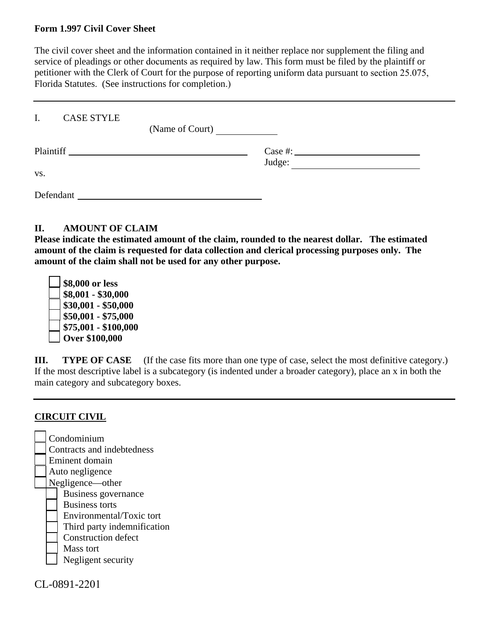#### **Form 1.997 Civil Cover Sheet**

The civil cover sheet and the information contained in it neither replace nor supplement the filing and service of pleadings or other documents as required by law. This form must be filed by the plaintiff or petitioner with the Clerk of Court for the purpose of reporting uniform data pursuant to section 25.075, Florida Statutes. (See instructions for completion.)

| I.<br><b>CASE STYLE</b> | (Name of Court) |                   |  |
|-------------------------|-----------------|-------------------|--|
|                         |                 | Case #:<br>Judge: |  |
| VS.                     |                 |                   |  |
| Defendant               |                 |                   |  |

# **II. AMOUNT OF CLAIM**

**Please indicate the estimated amount of the claim, rounded to the nearest dollar. The estimated amount of the claim is requested for data collection and clerical processing purposes only. The amount of the claim shall not be used for any other purpose.** 

**\$8,000 or less \$8,001 - \$30,000 \$30,001 - \$50,000 \$50,001 - \$75,000 \$75,001 - \$100,000 Over \$100,000** 

**III. TYPE OF CASE** (If the case fits more than one type of case, select the most definitive category.) If the most descriptive label is a subcategory (is indented under a broader category), place an x in both the main category and subcategory boxes.

# **CIRCUIT CIVIL**

| Condominium                 |  |  |
|-----------------------------|--|--|
| Contracts and indebtedness  |  |  |
| Eminent domain              |  |  |
| Auto negligence             |  |  |
| Negligence-other            |  |  |
| Business governance         |  |  |
| <b>Business torts</b>       |  |  |
| Environmental/Toxic tort    |  |  |
| Third party indemnification |  |  |
| <b>Construction defect</b>  |  |  |
| Mass tort                   |  |  |
| Negligent security          |  |  |
|                             |  |  |

CL-0891-2201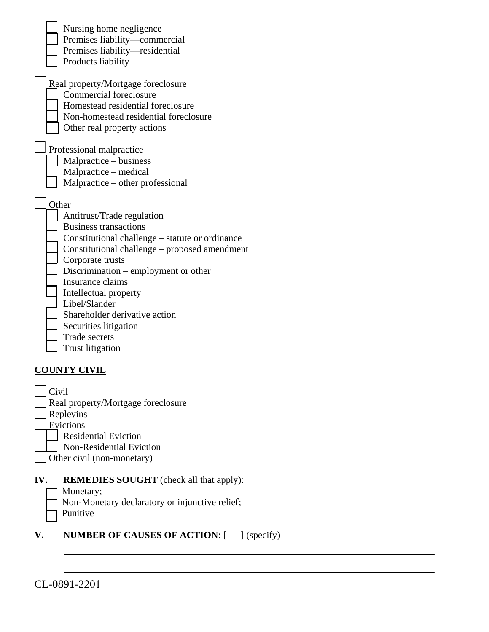| Nursing home negligence<br>Premises liability-commercial<br>Premises liability-residential<br>Products liability                                                                                                                                                                                                                                                                                               |  |  |
|----------------------------------------------------------------------------------------------------------------------------------------------------------------------------------------------------------------------------------------------------------------------------------------------------------------------------------------------------------------------------------------------------------------|--|--|
| Real property/Mortgage foreclosure<br>Commercial foreclosure<br>Homestead residential foreclosure<br>Non-homestead residential foreclosure<br>Other real property actions                                                                                                                                                                                                                                      |  |  |
| Professional malpractice                                                                                                                                                                                                                                                                                                                                                                                       |  |  |
| Malpractice - business                                                                                                                                                                                                                                                                                                                                                                                         |  |  |
| Malpractice – medical                                                                                                                                                                                                                                                                                                                                                                                          |  |  |
| Malpractice – other professional                                                                                                                                                                                                                                                                                                                                                                               |  |  |
| Other<br>Antitrust/Trade regulation<br><b>Business transactions</b><br>Constitutional challenge - statute or ordinance<br>Constitutional challenge - proposed amendment<br>Corporate trusts<br>Discrimination - employment or other<br>Insurance claims<br>Intellectual property<br>Libel/Slander<br>Shareholder derivative action<br>Securities litigation<br><b>Trade secrets</b><br><b>Trust litigation</b> |  |  |
| <b>COUNTY CIVIL</b>                                                                                                                                                                                                                                                                                                                                                                                            |  |  |
|                                                                                                                                                                                                                                                                                                                                                                                                                |  |  |
| Civil                                                                                                                                                                                                                                                                                                                                                                                                          |  |  |
| Real property/Mortgage foreclosure                                                                                                                                                                                                                                                                                                                                                                             |  |  |
| Replevins<br><b>. .</b> .                                                                                                                                                                                                                                                                                                                                                                                      |  |  |

- **Evictions**  Residential Eviction
	- Non-Residential Eviction
	- Other civil (non-monetary)

# **IV. REMEDIES SOUGHT** (check all that apply):

Monetary;

Non-Monetary declaratory or injunctive relief; Punitive

# **V.** NUMBER OF CAUSES OF ACTION:  $[$  ] (specify)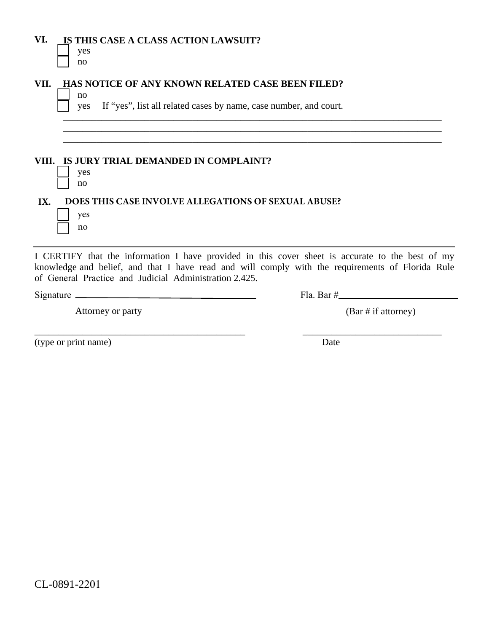#### **VI. IS THIS CASE A CLASS ACTION LAWSUIT?**

 yes no

#### **VII. HAS NOTICE OF ANY KNOWN RELATED CASE BEEN FILED?**

no

yes If "yes", list all related cases by name, case number, and court.

#### **VIII. IS JURY TRIAL DEMANDED IN COMPLAINT?**

| s<br>− |
|--------|
| no     |

#### **IX. DOES THIS CASE INVOLVE ALLEGATIONS OF SEXUAL ABUSE?**

yes

no

I CERTIFY that the information I have provided in this cover sheet is accurate to the best of my knowledge and belief, and that I have read and will comply with the requirements of Florida Rule of General Practice and Judicial Administration 2.425.

\_\_\_\_\_\_\_\_\_\_\_\_\_\_\_\_\_\_\_\_\_\_\_\_\_\_\_\_\_\_\_\_\_\_\_\_\_\_\_\_\_\_\_\_\_\_\_\_\_\_\_\_\_\_\_\_\_\_\_\_\_\_\_\_\_\_\_\_\_\_\_\_\_\_\_\_\_\_\_ \_\_\_\_\_\_\_\_\_\_\_\_\_\_\_\_\_\_\_\_\_\_\_\_\_\_\_\_\_\_\_\_\_\_\_\_\_\_\_\_\_\_\_\_\_\_\_\_\_\_\_\_\_\_\_\_\_\_\_\_\_\_\_\_\_\_\_\_\_\_\_\_\_\_\_\_\_\_\_ \_\_\_\_\_\_\_\_\_\_\_\_\_\_\_\_\_\_\_\_\_\_\_\_\_\_\_\_\_\_\_\_\_\_\_\_\_\_\_\_\_\_\_\_\_\_\_\_\_\_\_\_\_\_\_\_\_\_\_\_\_\_\_\_\_\_\_\_\_\_\_\_\_\_\_\_\_\_\_

Signature  $\frac{1}{\sqrt{1-\frac{1}{\sqrt{1-\frac{1}{\sqrt{1-\frac{1}{\sqrt{1-\frac{1}{\sqrt{1-\frac{1}{\sqrt{1-\frac{1}{\sqrt{1-\frac{1}{\sqrt{1-\frac{1}{\sqrt{1-\frac{1}{\sqrt{1-\frac{1}{\sqrt{1-\frac{1}{\sqrt{1-\frac{1}{\sqrt{1-\frac{1}{\sqrt{1-\frac{1}{\sqrt{1-\frac{1}{\sqrt{1-\frac{1}{\sqrt{1-\frac{1}{\sqrt{1-\frac{1}{\sqrt{1-\frac{1}{\sqrt{1-\frac{1}{\sqrt{1-\frac{1}{\sqrt{1-\frac{1}{\sqrt{1-\frac{$ 

Attorney or party (Bar # if attorney)

\_\_\_\_\_\_\_\_\_\_\_\_\_\_\_\_\_\_\_\_\_\_\_\_\_\_\_\_\_\_\_\_\_\_\_\_\_\_\_\_\_\_\_\_

\_\_\_\_\_\_\_\_\_\_\_\_\_\_\_\_\_\_\_\_\_\_\_\_\_\_\_\_\_

(type or print name)

Date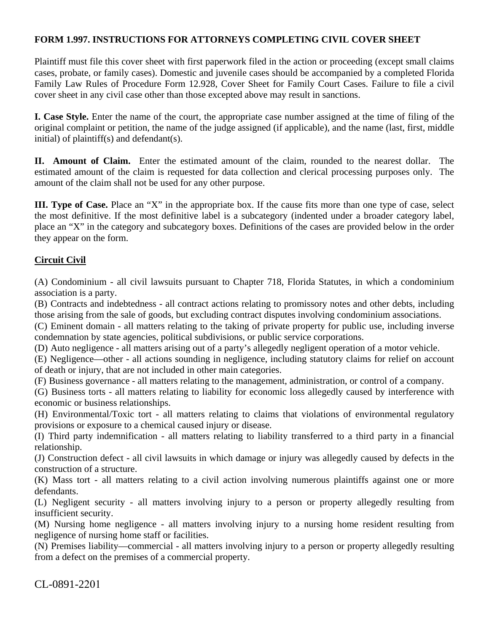# **FORM 1.997. INSTRUCTIONS FOR ATTORNEYS COMPLETING CIVIL COVER SHEET**

Plaintiff must file this cover sheet with first paperwork filed in the action or proceeding (except small claims cases, probate, or family cases). Domestic and juvenile cases should be accompanied by a completed Florida Family Law Rules of Procedure Form 12.928, Cover Sheet for Family Court Cases. Failure to file a civil cover sheet in any civil case other than those excepted above may result in sanctions.

**I. Case Style.** Enter the name of the court, the appropriate case number assigned at the time of filing of the original complaint or petition, the name of the judge assigned (if applicable), and the name (last, first, middle initial) of plaintiff(s) and defendant(s).

**II. Amount of Claim.** Enter the estimated amount of the claim, rounded to the nearest dollar. The estimated amount of the claim is requested for data collection and clerical processing purposes only. The amount of the claim shall not be used for any other purpose.

**III. Type of Case.** Place an "X" in the appropriate box. If the cause fits more than one type of case, select the most definitive. If the most definitive label is a subcategory (indented under a broader category label, place an "X" in the category and subcategory boxes. Definitions of the cases are provided below in the order they appear on the form.

# **Circuit Civil**

(A) Condominium - all civil lawsuits pursuant to Chapter 718, Florida Statutes, in which a condominium association is a party.

(B) Contracts and indebtedness - all contract actions relating to promissory notes and other debts, including those arising from the sale of goods, but excluding contract disputes involving condominium associations.

(C) Eminent domain - all matters relating to the taking of private property for public use, including inverse condemnation by state agencies, political subdivisions, or public service corporations.

(D) Auto negligence - all matters arising out of a party's allegedly negligent operation of a motor vehicle.

(E) Negligence—other - all actions sounding in negligence, including statutory claims for relief on account of death or injury, that are not included in other main categories.

(F) Business governance - all matters relating to the management, administration, or control of a company.

(G) Business torts - all matters relating to liability for economic loss allegedly caused by interference with economic or business relationships.

(H) Environmental/Toxic tort - all matters relating to claims that violations of environmental regulatory provisions or exposure to a chemical caused injury or disease.

(I) Third party indemnification - all matters relating to liability transferred to a third party in a financial relationship.

(J) Construction defect - all civil lawsuits in which damage or injury was allegedly caused by defects in the construction of a structure.

(K) Mass tort - all matters relating to a civil action involving numerous plaintiffs against one or more defendants.

(L) Negligent security - all matters involving injury to a person or property allegedly resulting from insufficient security.

(M) Nursing home negligence - all matters involving injury to a nursing home resident resulting from negligence of nursing home staff or facilities.

(N) Premises liability—commercial - all matters involving injury to a person or property allegedly resulting from a defect on the premises of a commercial property.

CL-0891-2201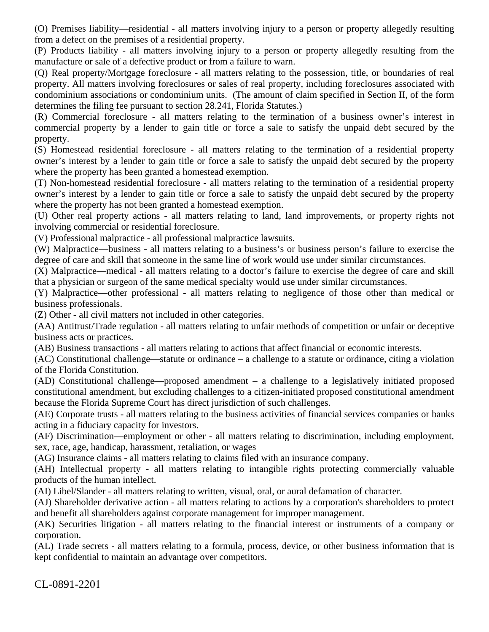(O) Premises liability—residential - all matters involving injury to a person or property allegedly resulting from a defect on the premises of a residential property.

(P) Products liability - all matters involving injury to a person or property allegedly resulting from the manufacture or sale of a defective product or from a failure to warn.

(Q) Real property/Mortgage foreclosure - all matters relating to the possession, title, or boundaries of real property. All matters involving foreclosures or sales of real property, including foreclosures associated with condominium associations or condominium units. (The amount of claim specified in Section II, of the form determines the filing fee pursuant to section 28.241, Florida Statutes.)

(R) Commercial foreclosure - all matters relating to the termination of a business owner's interest in commercial property by a lender to gain title or force a sale to satisfy the unpaid debt secured by the property.

(S) Homestead residential foreclosure - all matters relating to the termination of a residential property owner's interest by a lender to gain title or force a sale to satisfy the unpaid debt secured by the property where the property has been granted a homestead exemption.

(T) Non-homestead residential foreclosure - all matters relating to the termination of a residential property owner's interest by a lender to gain title or force a sale to satisfy the unpaid debt secured by the property where the property has not been granted a homestead exemption.

(U) Other real property actions - all matters relating to land, land improvements, or property rights not involving commercial or residential foreclosure.

(V) Professional malpractice - all professional malpractice lawsuits.

(W) Malpractice—business - all matters relating to a business's or business person's failure to exercise the degree of care and skill that someone in the same line of work would use under similar circumstances.

(X) Malpractice—medical - all matters relating to a doctor's failure to exercise the degree of care and skill that a physician or surgeon of the same medical specialty would use under similar circumstances.

(Y) Malpractice—other professional - all matters relating to negligence of those other than medical or business professionals.

(Z) Other - all civil matters not included in other categories.

(AA) Antitrust/Trade regulation - all matters relating to unfair methods of competition or unfair or deceptive business acts or practices.

(AB) Business transactions - all matters relating to actions that affect financial or economic interests.

(AC) Constitutional challenge—statute or ordinance – a challenge to a statute or ordinance, citing a violation of the Florida Constitution.

(AD) Constitutional challenge—proposed amendment – a challenge to a legislatively initiated proposed constitutional amendment, but excluding challenges to a citizen-initiated proposed constitutional amendment because the Florida Supreme Court has direct jurisdiction of such challenges.

(AE) Corporate trusts - all matters relating to the business activities of financial services companies or banks acting in a fiduciary capacity for investors.

(AF) Discrimination—employment or other - all matters relating to discrimination, including employment, sex, race, age, handicap, harassment, retaliation, or wages

(AG) Insurance claims - all matters relating to claims filed with an insurance company.

(AH) Intellectual property - all matters relating to intangible rights protecting commercially valuable products of the human intellect.

(AI) Libel/Slander - all matters relating to written, visual, oral, or aural defamation of character.

(AJ) Shareholder derivative action - all matters relating to actions by a corporation's shareholders to protect and benefit all shareholders against corporate management for improper management.

(AK) Securities litigation - all matters relating to the financial interest or instruments of a company or corporation.

(AL) Trade secrets - all matters relating to a formula, process, device, or other business information that is kept confidential to maintain an advantage over competitors.

CL-0891-2201